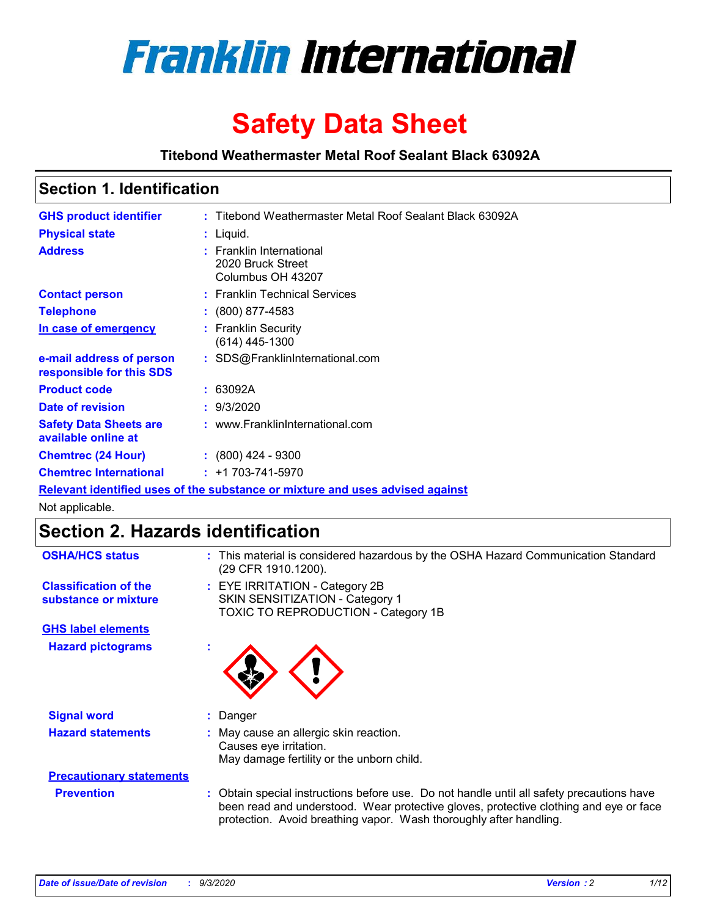

# **Safety Data Sheet**

**Titebond Weathermaster Metal Roof Sealant Black 63092A**

### **Section 1. Identification**

| <b>GHS product identifier</b>                                                 |  | : Titebond Weathermaster Metal Roof Sealant Black 63092A           |  |
|-------------------------------------------------------------------------------|--|--------------------------------------------------------------------|--|
| <b>Physical state</b>                                                         |  | : Liquid.                                                          |  |
| <b>Address</b>                                                                |  | : Franklin International<br>2020 Bruck Street<br>Columbus OH 43207 |  |
| <b>Contact person</b>                                                         |  | : Franklin Technical Services                                      |  |
| <b>Telephone</b>                                                              |  | $\colon$ (800) 877-4583                                            |  |
| In case of emergency                                                          |  | : Franklin Security<br>$(614)$ 445-1300                            |  |
| e-mail address of person<br>responsible for this SDS                          |  | : SDS@FranklinInternational.com                                    |  |
| <b>Product code</b>                                                           |  | : 63092A                                                           |  |
| Date of revision                                                              |  | : 9/3/2020                                                         |  |
| <b>Safety Data Sheets are</b><br>available online at                          |  | : www.FranklinInternational.com                                    |  |
| <b>Chemtrec (24 Hour)</b>                                                     |  | $: (800)$ 424 - 9300                                               |  |
| <b>Chemtrec International</b>                                                 |  | $: +1703 - 741 - 5970$                                             |  |
| Relevant identified uses of the substance or mixture and uses advised against |  |                                                                    |  |

Not applicable.

# **Section 2. Hazards identification**

| <b>OSHA/HCS status</b>                               |    | : This material is considered hazardous by the OSHA Hazard Communication Standard<br>(29 CFR 1910.1200).                                                                                                                                                 |
|------------------------------------------------------|----|----------------------------------------------------------------------------------------------------------------------------------------------------------------------------------------------------------------------------------------------------------|
| <b>Classification of the</b><br>substance or mixture |    | : EYE IRRITATION - Category 2B<br>SKIN SENSITIZATION - Category 1<br>TOXIC TO REPRODUCTION - Category 1B                                                                                                                                                 |
| <b>GHS label elements</b>                            |    |                                                                                                                                                                                                                                                          |
| <b>Hazard pictograms</b>                             | ٠  |                                                                                                                                                                                                                                                          |
| <b>Signal word</b>                                   | ÷. | Danger                                                                                                                                                                                                                                                   |
| <b>Hazard statements</b>                             |    | May cause an allergic skin reaction.<br>Causes eye irritation.<br>May damage fertility or the unborn child.                                                                                                                                              |
| <b>Precautionary statements</b>                      |    |                                                                                                                                                                                                                                                          |
| <b>Prevention</b>                                    |    | : Obtain special instructions before use. Do not handle until all safety precautions have<br>been read and understood. Wear protective gloves, protective clothing and eye or face<br>protection. Avoid breathing vapor. Wash thoroughly after handling. |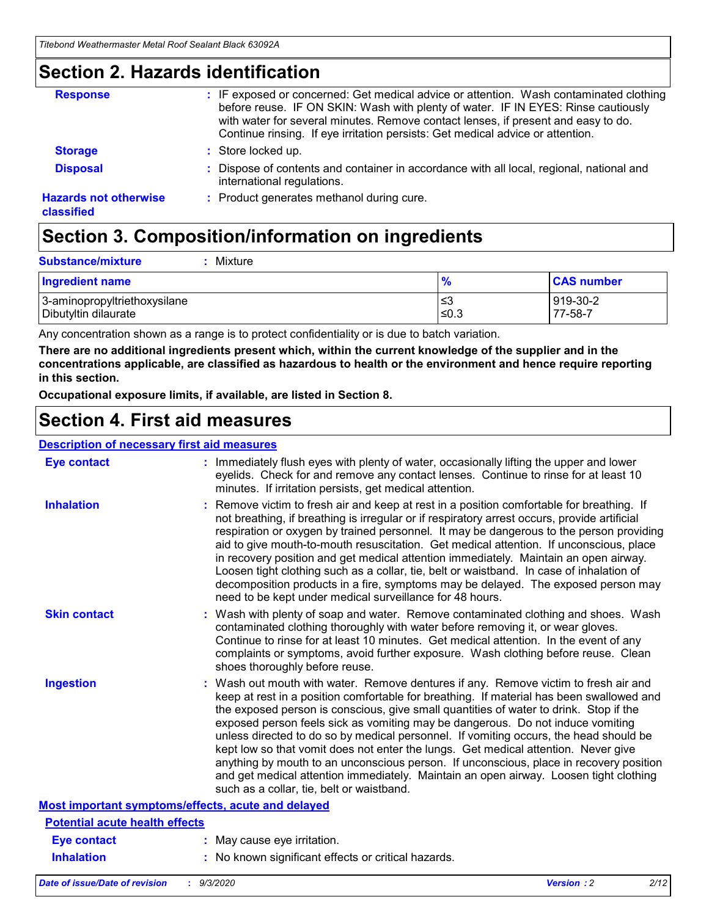### **Section 2. Hazards identification**

| <b>Response</b>                            | : IF exposed or concerned: Get medical advice or attention. Wash contaminated clothing<br>before reuse. IF ON SKIN: Wash with plenty of water. IF IN EYES: Rinse cautiously<br>with water for several minutes. Remove contact lenses, if present and easy to do.<br>Continue rinsing. If eye irritation persists: Get medical advice or attention. |
|--------------------------------------------|----------------------------------------------------------------------------------------------------------------------------------------------------------------------------------------------------------------------------------------------------------------------------------------------------------------------------------------------------|
| <b>Storage</b>                             | : Store locked up.                                                                                                                                                                                                                                                                                                                                 |
| <b>Disposal</b>                            | : Dispose of contents and container in accordance with all local, regional, national and<br>international regulations.                                                                                                                                                                                                                             |
| <b>Hazards not otherwise</b><br>classified | : Product generates methanol during cure.                                                                                                                                                                                                                                                                                                          |

# **Section 3. Composition/information on ingredients**

| <b>Substance/mixture</b> |  | : Mixture |
|--------------------------|--|-----------|
|--------------------------|--|-----------|

| <b>Ingredient name</b>       | $\frac{9}{6}$ | <b>CAS number</b> |
|------------------------------|---------------|-------------------|
| 3-aminopropyltriethoxysilane | ≤3            | 919-30-2          |
| Dibutyltin dilaurate         | ∣≤0.3         | 77-58-7           |

Any concentration shown as a range is to protect confidentiality or is due to batch variation.

**There are no additional ingredients present which, within the current knowledge of the supplier and in the concentrations applicable, are classified as hazardous to health or the environment and hence require reporting in this section.**

**Occupational exposure limits, if available, are listed in Section 8.**

### **Section 4. First aid measures**

| <b>Description of necessary first aid measures</b> |                                                                                                                                                                                                                                                                                                                                                                                                                                                                                                                                                                                                                                                                                                                                                                           |
|----------------------------------------------------|---------------------------------------------------------------------------------------------------------------------------------------------------------------------------------------------------------------------------------------------------------------------------------------------------------------------------------------------------------------------------------------------------------------------------------------------------------------------------------------------------------------------------------------------------------------------------------------------------------------------------------------------------------------------------------------------------------------------------------------------------------------------------|
| <b>Eye contact</b>                                 | : Immediately flush eyes with plenty of water, occasionally lifting the upper and lower<br>eyelids. Check for and remove any contact lenses. Continue to rinse for at least 10<br>minutes. If irritation persists, get medical attention.                                                                                                                                                                                                                                                                                                                                                                                                                                                                                                                                 |
| <b>Inhalation</b>                                  | : Remove victim to fresh air and keep at rest in a position comfortable for breathing. If<br>not breathing, if breathing is irregular or if respiratory arrest occurs, provide artificial<br>respiration or oxygen by trained personnel. It may be dangerous to the person providing<br>aid to give mouth-to-mouth resuscitation. Get medical attention. If unconscious, place<br>in recovery position and get medical attention immediately. Maintain an open airway.<br>Loosen tight clothing such as a collar, tie, belt or waistband. In case of inhalation of<br>decomposition products in a fire, symptoms may be delayed. The exposed person may<br>need to be kept under medical surveillance for 48 hours.                                                       |
| <b>Skin contact</b>                                | : Wash with plenty of soap and water. Remove contaminated clothing and shoes. Wash<br>contaminated clothing thoroughly with water before removing it, or wear gloves.<br>Continue to rinse for at least 10 minutes. Get medical attention. In the event of any<br>complaints or symptoms, avoid further exposure. Wash clothing before reuse. Clean<br>shoes thoroughly before reuse.                                                                                                                                                                                                                                                                                                                                                                                     |
| <b>Ingestion</b>                                   | : Wash out mouth with water. Remove dentures if any. Remove victim to fresh air and<br>keep at rest in a position comfortable for breathing. If material has been swallowed and<br>the exposed person is conscious, give small quantities of water to drink. Stop if the<br>exposed person feels sick as vomiting may be dangerous. Do not induce vomiting<br>unless directed to do so by medical personnel. If vomiting occurs, the head should be<br>kept low so that vomit does not enter the lungs. Get medical attention. Never give<br>anything by mouth to an unconscious person. If unconscious, place in recovery position<br>and get medical attention immediately. Maintain an open airway. Loosen tight clothing<br>such as a collar, tie, belt or waistband. |
| Most important symptoms/effects, acute and delayed |                                                                                                                                                                                                                                                                                                                                                                                                                                                                                                                                                                                                                                                                                                                                                                           |
| <b>Potential acute health effects</b>              |                                                                                                                                                                                                                                                                                                                                                                                                                                                                                                                                                                                                                                                                                                                                                                           |
| <b>Eye contact</b>                                 | : May cause eye irritation.                                                                                                                                                                                                                                                                                                                                                                                                                                                                                                                                                                                                                                                                                                                                               |
| <b>Inhalation</b>                                  | : No known significant effects or critical hazards.                                                                                                                                                                                                                                                                                                                                                                                                                                                                                                                                                                                                                                                                                                                       |
|                                                    |                                                                                                                                                                                                                                                                                                                                                                                                                                                                                                                                                                                                                                                                                                                                                                           |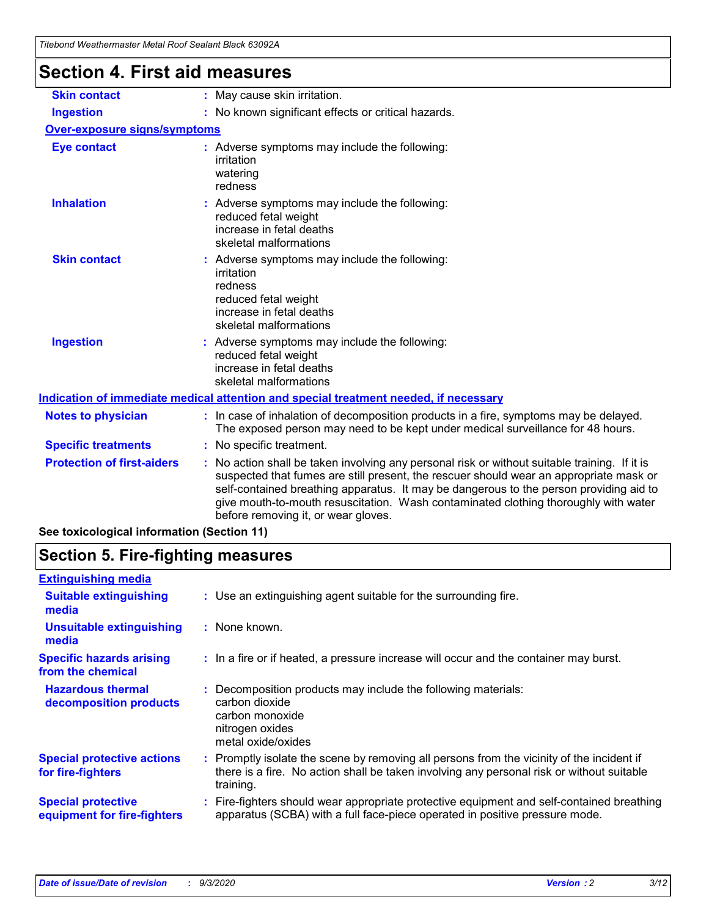| Thebond Weathermaster Metal Roof Sealaht Black 63092A |                                                                                                                                                                                                                                                                                                                                                                                                                 |
|-------------------------------------------------------|-----------------------------------------------------------------------------------------------------------------------------------------------------------------------------------------------------------------------------------------------------------------------------------------------------------------------------------------------------------------------------------------------------------------|
| <b>Section 4. First aid measures</b>                  |                                                                                                                                                                                                                                                                                                                                                                                                                 |
| <b>Skin contact</b>                                   | : May cause skin irritation.                                                                                                                                                                                                                                                                                                                                                                                    |
| <b>Ingestion</b>                                      | : No known significant effects or critical hazards.                                                                                                                                                                                                                                                                                                                                                             |
| Over-exposure signs/symptoms                          |                                                                                                                                                                                                                                                                                                                                                                                                                 |
| <b>Eye contact</b>                                    | : Adverse symptoms may include the following:<br>irritation<br>watering<br>redness                                                                                                                                                                                                                                                                                                                              |
| <b>Inhalation</b>                                     | : Adverse symptoms may include the following:<br>reduced fetal weight<br>increase in fetal deaths<br>skeletal malformations                                                                                                                                                                                                                                                                                     |
| <b>Skin contact</b>                                   | : Adverse symptoms may include the following:<br>irritation<br>redness<br>reduced fetal weight<br>increase in fetal deaths<br>skeletal malformations                                                                                                                                                                                                                                                            |
| <b>Ingestion</b>                                      | : Adverse symptoms may include the following:<br>reduced fetal weight<br>increase in fetal deaths<br>skeletal malformations                                                                                                                                                                                                                                                                                     |
|                                                       | Indication of immediate medical attention and special treatment needed, if necessary                                                                                                                                                                                                                                                                                                                            |
| <b>Notes to physician</b>                             | : In case of inhalation of decomposition products in a fire, symptoms may be delayed.<br>The exposed person may need to be kept under medical surveillance for 48 hours.                                                                                                                                                                                                                                        |
| <b>Specific treatments</b>                            | : No specific treatment.                                                                                                                                                                                                                                                                                                                                                                                        |
| <b>Protection of first-aiders</b>                     | : No action shall be taken involving any personal risk or without suitable training. If it is<br>suspected that fumes are still present, the rescuer should wear an appropriate mask or<br>self-contained breathing apparatus. It may be dangerous to the person providing aid to<br>give mouth-to-mouth resuscitation. Wash contaminated clothing thoroughly with water<br>before removing it, or wear gloves. |
| See toxicological information (Section 11)            |                                                                                                                                                                                                                                                                                                                                                                                                                 |

### **Section 5. Fire-fighting measures**

| <b>Extinguishing media</b>                               |                                                                                                                                                                                                   |
|----------------------------------------------------------|---------------------------------------------------------------------------------------------------------------------------------------------------------------------------------------------------|
| <b>Suitable extinguishing</b><br>media                   | : Use an extinguishing agent suitable for the surrounding fire.                                                                                                                                   |
| <b>Unsuitable extinguishing</b><br>media                 | : None known.                                                                                                                                                                                     |
| <b>Specific hazards arising</b><br>from the chemical     | : In a fire or if heated, a pressure increase will occur and the container may burst.                                                                                                             |
| <b>Hazardous thermal</b><br>decomposition products       | Decomposition products may include the following materials:<br>carbon dioxide<br>carbon monoxide<br>nitrogen oxides<br>metal oxide/oxides                                                         |
| <b>Special protective actions</b><br>for fire-fighters   | Promptly isolate the scene by removing all persons from the vicinity of the incident if<br>there is a fire. No action shall be taken involving any personal risk or without suitable<br>training. |
| <b>Special protective</b><br>equipment for fire-fighters | Fire-fighters should wear appropriate protective equipment and self-contained breathing<br>apparatus (SCBA) with a full face-piece operated in positive pressure mode.                            |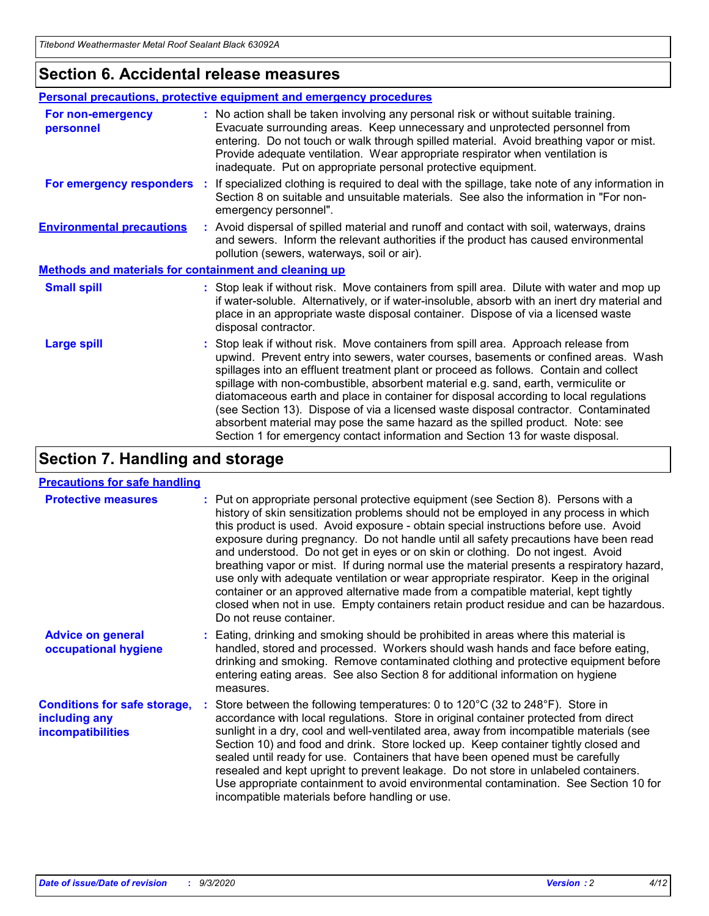### **Section 6. Accidental release measures**

|                                                              | <b>Personal precautions, protective equipment and emergency procedures</b>                                                                                                                                                                                                                                                                                                                                                                                                                                                                                                                                                                                                                                   |  |  |  |
|--------------------------------------------------------------|--------------------------------------------------------------------------------------------------------------------------------------------------------------------------------------------------------------------------------------------------------------------------------------------------------------------------------------------------------------------------------------------------------------------------------------------------------------------------------------------------------------------------------------------------------------------------------------------------------------------------------------------------------------------------------------------------------------|--|--|--|
| For non-emergency<br>personnel                               | : No action shall be taken involving any personal risk or without suitable training.<br>Evacuate surrounding areas. Keep unnecessary and unprotected personnel from<br>entering. Do not touch or walk through spilled material. Avoid breathing vapor or mist.<br>Provide adequate ventilation. Wear appropriate respirator when ventilation is<br>inadequate. Put on appropriate personal protective equipment.                                                                                                                                                                                                                                                                                             |  |  |  |
| For emergency responders                                     | : If specialized clothing is required to deal with the spillage, take note of any information in<br>Section 8 on suitable and unsuitable materials. See also the information in "For non-<br>emergency personnel".                                                                                                                                                                                                                                                                                                                                                                                                                                                                                           |  |  |  |
| <b>Environmental precautions</b>                             | : Avoid dispersal of spilled material and runoff and contact with soil, waterways, drains<br>and sewers. Inform the relevant authorities if the product has caused environmental<br>pollution (sewers, waterways, soil or air).                                                                                                                                                                                                                                                                                                                                                                                                                                                                              |  |  |  |
| <b>Methods and materials for containment and cleaning up</b> |                                                                                                                                                                                                                                                                                                                                                                                                                                                                                                                                                                                                                                                                                                              |  |  |  |
| <b>Small spill</b>                                           | : Stop leak if without risk. Move containers from spill area. Dilute with water and mop up<br>if water-soluble. Alternatively, or if water-insoluble, absorb with an inert dry material and<br>place in an appropriate waste disposal container. Dispose of via a licensed waste<br>disposal contractor.                                                                                                                                                                                                                                                                                                                                                                                                     |  |  |  |
| <b>Large spill</b>                                           | : Stop leak if without risk. Move containers from spill area. Approach release from<br>upwind. Prevent entry into sewers, water courses, basements or confined areas. Wash<br>spillages into an effluent treatment plant or proceed as follows. Contain and collect<br>spillage with non-combustible, absorbent material e.g. sand, earth, vermiculite or<br>diatomaceous earth and place in container for disposal according to local regulations<br>(see Section 13). Dispose of via a licensed waste disposal contractor. Contaminated<br>absorbent material may pose the same hazard as the spilled product. Note: see<br>Section 1 for emergency contact information and Section 13 for waste disposal. |  |  |  |

# **Section 7. Handling and storage**

#### **Precautions for safe handling**

| <b>Protective measures</b>                                                       | : Put on appropriate personal protective equipment (see Section 8). Persons with a<br>history of skin sensitization problems should not be employed in any process in which<br>this product is used. Avoid exposure - obtain special instructions before use. Avoid<br>exposure during pregnancy. Do not handle until all safety precautions have been read<br>and understood. Do not get in eyes or on skin or clothing. Do not ingest. Avoid<br>breathing vapor or mist. If during normal use the material presents a respiratory hazard,<br>use only with adequate ventilation or wear appropriate respirator. Keep in the original<br>container or an approved alternative made from a compatible material, kept tightly<br>closed when not in use. Empty containers retain product residue and can be hazardous.<br>Do not reuse container. |
|----------------------------------------------------------------------------------|--------------------------------------------------------------------------------------------------------------------------------------------------------------------------------------------------------------------------------------------------------------------------------------------------------------------------------------------------------------------------------------------------------------------------------------------------------------------------------------------------------------------------------------------------------------------------------------------------------------------------------------------------------------------------------------------------------------------------------------------------------------------------------------------------------------------------------------------------|
| <b>Advice on general</b><br>occupational hygiene                                 | : Eating, drinking and smoking should be prohibited in areas where this material is<br>handled, stored and processed. Workers should wash hands and face before eating,<br>drinking and smoking. Remove contaminated clothing and protective equipment before<br>entering eating areas. See also Section 8 for additional information on hygiene<br>measures.                                                                                                                                                                                                                                                                                                                                                                                                                                                                                    |
| <b>Conditions for safe storage,</b><br>including any<br><i>incompatibilities</i> | Store between the following temperatures: 0 to 120°C (32 to 248°F). Store in<br>accordance with local regulations. Store in original container protected from direct<br>sunlight in a dry, cool and well-ventilated area, away from incompatible materials (see<br>Section 10) and food and drink. Store locked up. Keep container tightly closed and<br>sealed until ready for use. Containers that have been opened must be carefully<br>resealed and kept upright to prevent leakage. Do not store in unlabeled containers.<br>Use appropriate containment to avoid environmental contamination. See Section 10 for<br>incompatible materials before handling or use.                                                                                                                                                                         |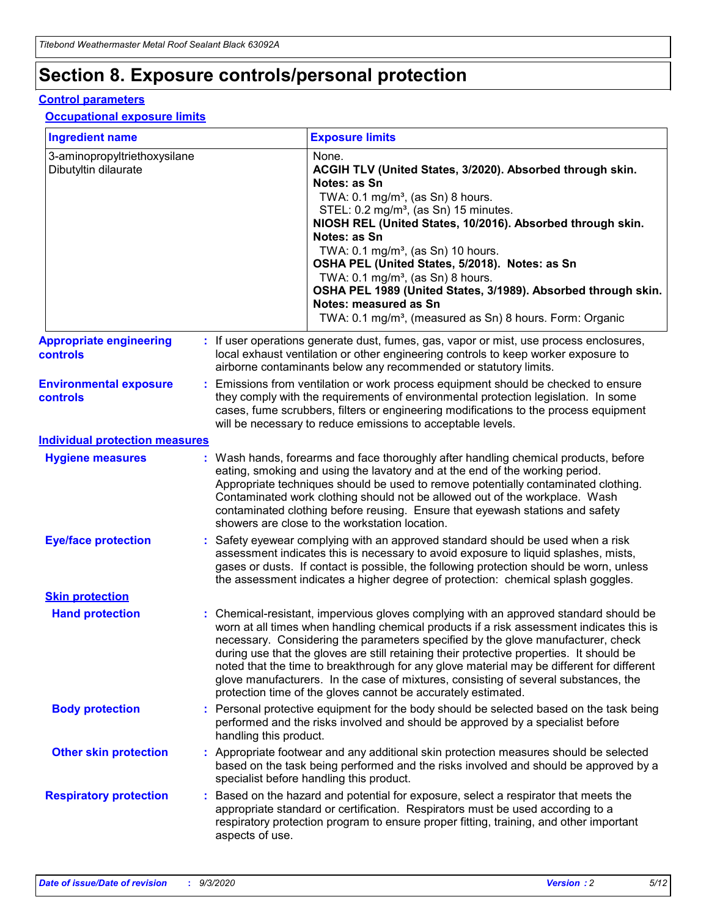# **Section 8. Exposure controls/personal protection**

#### **Control parameters**

#### **Occupational exposure limits**

| <b>Ingredient name</b>                               |    |                        | <b>Exposure limits</b>                                                                                                                                                                                                                                                                                                                                                                                                                                                                                                                                                                                                 |
|------------------------------------------------------|----|------------------------|------------------------------------------------------------------------------------------------------------------------------------------------------------------------------------------------------------------------------------------------------------------------------------------------------------------------------------------------------------------------------------------------------------------------------------------------------------------------------------------------------------------------------------------------------------------------------------------------------------------------|
| 3-aminopropyltriethoxysilane<br>Dibutyltin dilaurate |    |                        | None.<br>ACGIH TLV (United States, 3/2020). Absorbed through skin.<br>Notes: as Sn<br>TWA: 0.1 mg/m <sup>3</sup> , (as Sn) 8 hours.<br>STEL: 0.2 mg/m <sup>3</sup> , (as Sn) 15 minutes.<br>NIOSH REL (United States, 10/2016). Absorbed through skin.<br>Notes: as Sn<br>TWA: 0.1 mg/m <sup>3</sup> , (as Sn) 10 hours.<br>OSHA PEL (United States, 5/2018). Notes: as Sn<br>TWA: $0.1 \text{ mg/m}^3$ , (as Sn) 8 hours.<br>OSHA PEL 1989 (United States, 3/1989). Absorbed through skin.<br>Notes: measured as Sn<br>TWA: 0.1 mg/m <sup>3</sup> , (measured as Sn) 8 hours. Form: Organic                           |
| <b>Appropriate engineering</b><br>controls           |    |                        | : If user operations generate dust, fumes, gas, vapor or mist, use process enclosures,<br>local exhaust ventilation or other engineering controls to keep worker exposure to<br>airborne contaminants below any recommended or statutory limits.                                                                                                                                                                                                                                                                                                                                                                       |
| <b>Environmental exposure</b><br><b>controls</b>     |    |                        | Emissions from ventilation or work process equipment should be checked to ensure<br>they comply with the requirements of environmental protection legislation. In some<br>cases, fume scrubbers, filters or engineering modifications to the process equipment<br>will be necessary to reduce emissions to acceptable levels.                                                                                                                                                                                                                                                                                          |
| <b>Individual protection measures</b>                |    |                        |                                                                                                                                                                                                                                                                                                                                                                                                                                                                                                                                                                                                                        |
| <b>Hygiene measures</b>                              |    |                        | : Wash hands, forearms and face thoroughly after handling chemical products, before<br>eating, smoking and using the lavatory and at the end of the working period.<br>Appropriate techniques should be used to remove potentially contaminated clothing.<br>Contaminated work clothing should not be allowed out of the workplace. Wash<br>contaminated clothing before reusing. Ensure that eyewash stations and safety<br>showers are close to the workstation location.                                                                                                                                            |
| <b>Eye/face protection</b>                           |    |                        | : Safety eyewear complying with an approved standard should be used when a risk<br>assessment indicates this is necessary to avoid exposure to liquid splashes, mists,<br>gases or dusts. If contact is possible, the following protection should be worn, unless<br>the assessment indicates a higher degree of protection: chemical splash goggles.                                                                                                                                                                                                                                                                  |
| <b>Skin protection</b>                               |    |                        |                                                                                                                                                                                                                                                                                                                                                                                                                                                                                                                                                                                                                        |
| <b>Hand protection</b>                               |    |                        | : Chemical-resistant, impervious gloves complying with an approved standard should be<br>worn at all times when handling chemical products if a risk assessment indicates this is<br>necessary. Considering the parameters specified by the glove manufacturer, check<br>during use that the gloves are still retaining their protective properties. It should be<br>noted that the time to breakthrough for any glove material may be different for different<br>glove manufacturers. In the case of mixtures, consisting of several substances, the<br>protection time of the gloves cannot be accurately estimated. |
| <b>Body protection</b>                               |    | handling this product. | Personal protective equipment for the body should be selected based on the task being<br>performed and the risks involved and should be approved by a specialist before                                                                                                                                                                                                                                                                                                                                                                                                                                                |
| <b>Other skin protection</b>                         |    |                        | : Appropriate footwear and any additional skin protection measures should be selected<br>based on the task being performed and the risks involved and should be approved by a<br>specialist before handling this product.                                                                                                                                                                                                                                                                                                                                                                                              |
| <b>Respiratory protection</b>                        | ÷. | aspects of use.        | Based on the hazard and potential for exposure, select a respirator that meets the<br>appropriate standard or certification. Respirators must be used according to a<br>respiratory protection program to ensure proper fitting, training, and other important                                                                                                                                                                                                                                                                                                                                                         |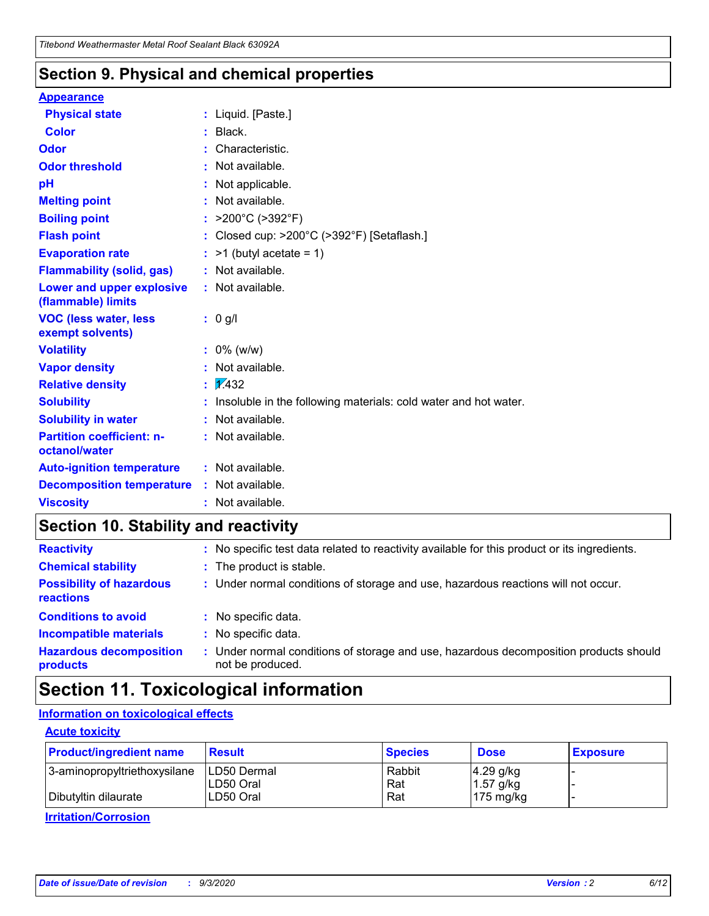### **Section 9. Physical and chemical properties**

#### **Appearance**

| <b>Physical state</b>                             | : Liquid. [Paste.]                                              |
|---------------------------------------------------|-----------------------------------------------------------------|
| <b>Color</b>                                      | Black.                                                          |
| Odor                                              | Characteristic.                                                 |
| <b>Odor threshold</b>                             | Not available.                                                  |
| pH                                                | Not applicable.                                                 |
| <b>Melting point</b>                              | : Not available.                                                |
| <b>Boiling point</b>                              | >200°C (>392°F)                                                 |
| <b>Flash point</b>                                | Closed cup: >200°C (>392°F) [Setaflash.]                        |
| <b>Evaporation rate</b>                           | $:$ >1 (butyl acetate = 1)                                      |
| <b>Flammability (solid, gas)</b>                  | : Not available.                                                |
| Lower and upper explosive<br>(flammable) limits   | $:$ Not available.                                              |
| <b>VOC (less water, less)</b><br>exempt solvents) | : 0 g/l                                                         |
| <b>Volatility</b>                                 | $: 0\%$ (w/w)                                                   |
| <b>Vapor density</b>                              | Not available.                                                  |
| <b>Relative density</b>                           | $\mathbf{1}$ $\mathbf{\sqrt{432}}$                              |
| <b>Solubility</b>                                 | Insoluble in the following materials: cold water and hot water. |
| <b>Solubility in water</b>                        | Not available.                                                  |
| <b>Partition coefficient: n-</b><br>octanol/water | : Not available.                                                |
| <b>Auto-ignition temperature</b>                  | : Not available.                                                |
| <b>Decomposition temperature</b>                  | : Not available.                                                |
| <b>Viscosity</b>                                  | : Not available.                                                |

### **Section 10. Stability and reactivity**

| <b>Reactivity</b>                            |    | : No specific test data related to reactivity available for this product or its ingredients.            |
|----------------------------------------------|----|---------------------------------------------------------------------------------------------------------|
| <b>Chemical stability</b>                    |    | : The product is stable.                                                                                |
| <b>Possibility of hazardous</b><br>reactions |    | : Under normal conditions of storage and use, hazardous reactions will not occur.                       |
| <b>Conditions to avoid</b>                   |    | : No specific data.                                                                                     |
| <b>Incompatible materials</b>                | ٠. | No specific data.                                                                                       |
| <b>Hazardous decomposition</b><br>products   | ÷. | Under normal conditions of storage and use, hazardous decomposition products should<br>not be produced. |

### **Section 11. Toxicological information**

#### **Information on toxicological effects**

#### **Acute toxicity**

| <b>Product/ingredient name</b> | <b>Result</b>           | <b>Species</b> | <b>Dose</b>                | <b>Exposure</b> |
|--------------------------------|-------------------------|----------------|----------------------------|-----------------|
| 3-aminopropyltriethoxysilane   | <b>ILD50 Dermal</b>     | Rabbit         | 4.29 g/kg                  |                 |
| Dibutyltin dilaurate           | ILD50 Oral<br>LD50 Oral | Rat<br>Rat     | $1.57$ g/kg<br>175 $mg/kg$ |                 |
|                                |                         |                |                            |                 |

**Irritation/Corrosion**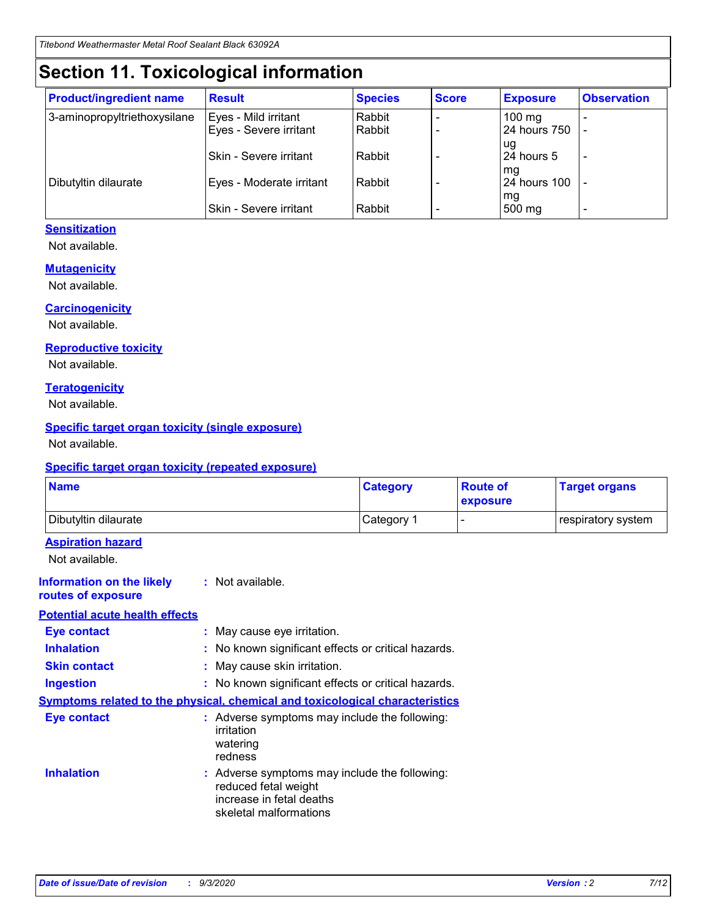# **Section 11. Toxicological information**

| <b>Product/ingredient name</b> | <b>Result</b>            | <b>Species</b> | <b>Score</b> | <b>Exposure</b>           | <b>Observation</b> |
|--------------------------------|--------------------------|----------------|--------------|---------------------------|--------------------|
| 3-aminopropyltriethoxysilane   | Eyes - Mild irritant     | Rabbit         |              | $100$ mg                  |                    |
|                                | Eyes - Severe irritant   | Rabbit         |              | 24 hours 750              |                    |
|                                |                          |                |              | ug                        |                    |
|                                | Skin - Severe irritant   | Rabbit         |              | 24 hours 5                | -                  |
| Dibutyltin dilaurate           | Eyes - Moderate irritant | Rabbit         |              | mg<br><b>24 hours 100</b> |                    |
|                                |                          |                |              | mg                        |                    |
|                                | Skin - Severe irritant   | Rabbit         |              | 500 mg                    | -                  |

#### **Sensitization**

Not available.

#### **Mutagenicity**

Not available.

#### **Carcinogenicity**

Not available.

#### **Reproductive toxicity**

Not available.

#### **Teratogenicity**

Not available.

#### **Specific target organ toxicity (single exposure)**

Not available.

#### **Specific target organ toxicity (repeated exposure)**

| <b>Name</b>                                                                         |                                                                            | <b>Category</b>                                     | <b>Route of</b><br>exposure | <b>Target organs</b> |  |  |
|-------------------------------------------------------------------------------------|----------------------------------------------------------------------------|-----------------------------------------------------|-----------------------------|----------------------|--|--|
| Dibutyltin dilaurate                                                                |                                                                            | Category 1                                          | -                           | respiratory system   |  |  |
| <b>Aspiration hazard</b><br>Not available.                                          |                                                                            |                                                     |                             |                      |  |  |
| <b>Information on the likely</b><br>routes of exposure                              | : Not available.                                                           |                                                     |                             |                      |  |  |
| <b>Potential acute health effects</b>                                               |                                                                            |                                                     |                             |                      |  |  |
| <b>Eye contact</b>                                                                  | : May cause eye irritation.                                                |                                                     |                             |                      |  |  |
| <b>Inhalation</b>                                                                   |                                                                            | : No known significant effects or critical hazards. |                             |                      |  |  |
| <b>Skin contact</b>                                                                 |                                                                            | : May cause skin irritation.                        |                             |                      |  |  |
| <b>Ingestion</b>                                                                    |                                                                            | : No known significant effects or critical hazards. |                             |                      |  |  |
| <b>Symptoms related to the physical, chemical and toxicological characteristics</b> |                                                                            |                                                     |                             |                      |  |  |
| <b>Eye contact</b>                                                                  | irritation<br>watering<br>redness                                          | : Adverse symptoms may include the following:       |                             |                      |  |  |
| <b>Inhalation</b>                                                                   | reduced fetal weight<br>increase in fetal deaths<br>skeletal malformations | : Adverse symptoms may include the following:       |                             |                      |  |  |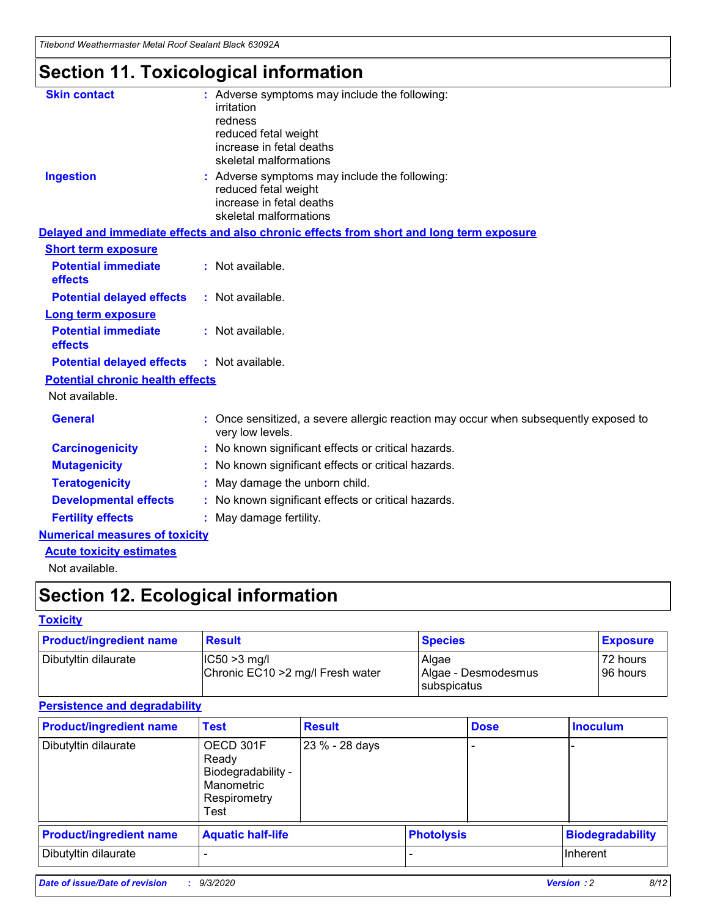*Titebond Weathermaster Metal Roof Sealant Black 63092A*

# **Section 11. Toxicological information**

| <b>Skin contact</b>                     | : Adverse symptoms may include the following:<br>irritation                                            |
|-----------------------------------------|--------------------------------------------------------------------------------------------------------|
|                                         | redness                                                                                                |
|                                         | reduced fetal weight                                                                                   |
|                                         | increase in fetal deaths                                                                               |
|                                         | skeletal malformations                                                                                 |
| <b>Ingestion</b>                        | : Adverse symptoms may include the following:<br>reduced fetal weight                                  |
|                                         | increase in fetal deaths                                                                               |
|                                         | skeletal malformations                                                                                 |
|                                         | Delayed and immediate effects and also chronic effects from short and long term exposure               |
| <b>Short term exposure</b>              |                                                                                                        |
| <b>Potential immediate</b><br>effects   | : Not available.                                                                                       |
| <b>Potential delayed effects</b>        | : Not available.                                                                                       |
| <b>Long term exposure</b>               |                                                                                                        |
| <b>Potential immediate</b><br>effects   | : Not available.                                                                                       |
| <b>Potential delayed effects</b>        | : Not available.                                                                                       |
| <b>Potential chronic health effects</b> |                                                                                                        |
| Not available.                          |                                                                                                        |
| <b>General</b>                          | Once sensitized, a severe allergic reaction may occur when subsequently exposed to<br>very low levels. |
| <b>Carcinogenicity</b>                  | No known significant effects or critical hazards.                                                      |
| <b>Mutagenicity</b>                     | : No known significant effects or critical hazards.                                                    |
| <b>Teratogenicity</b>                   | May damage the unborn child.                                                                           |
| <b>Developmental effects</b>            | : No known significant effects or critical hazards.                                                    |
| <b>Fertility effects</b>                | : May damage fertility.                                                                                |
| <b>Numerical measures of toxicity</b>   |                                                                                                        |
| <b>Acute toxicity estimates</b>         |                                                                                                        |
| Not ovoilable                           |                                                                                                        |

Not available.

# **Section 12. Ecological information**

#### **Toxicity**

| <b>Product/ingredient name</b> | <b>Result</b>                                       | <b>Species</b>               | <b>Exposure</b>       |
|--------------------------------|-----------------------------------------------------|------------------------------|-----------------------|
| Dibutyltin dilaurate           | $ CC50>3$ mg/l<br>Chronic EC10 > 2 mg/l Fresh water | Algae<br>Algae - Desmodesmus | 72 hours<br>196 hours |
|                                |                                                     | <b>I</b> subspicatus         |                       |

#### **Persistence and degradability**

| <b>Product/ingredient name</b> | <b>Test</b>                                                                    | <b>Result</b>  |                   | <b>Dose</b> | <b>Inoculum</b>         |
|--------------------------------|--------------------------------------------------------------------------------|----------------|-------------------|-------------|-------------------------|
| Dibutyltin dilaurate           | OECD 301F<br>Ready<br>Biodegradability -<br>Manometric<br>Respirometry<br>Test | 23 % - 28 days |                   |             |                         |
| <b>Product/ingredient name</b> | <b>Aquatic half-life</b>                                                       |                | <b>Photolysis</b> |             | <b>Biodegradability</b> |
| Dibutyltin dilaurate           |                                                                                |                |                   |             | <b>Inherent</b>         |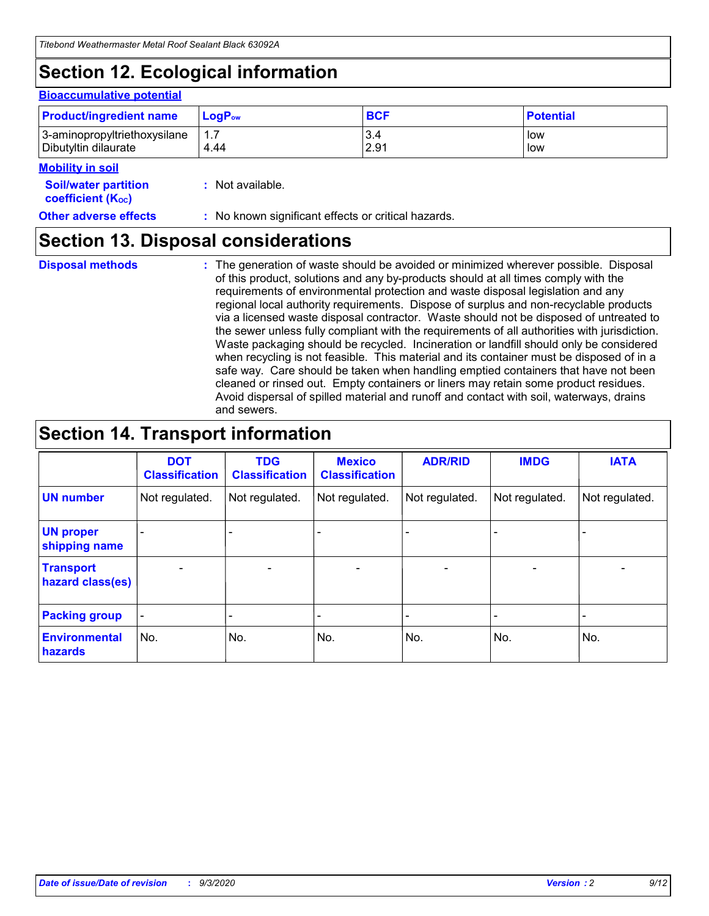# **Section 12. Ecological information**

#### **Bioaccumulative potential**

| <b>Product/ingredient name</b> | $LoaPow$ | <b>BCF</b> | <b>Potential</b> |
|--------------------------------|----------|------------|------------------|
| 3-aminopropyltriethoxysilane   | 1.7      | 3.4        | low              |
| Dibutyltin dilaurate           | 4.44     | 2.91       | low              |

#### **Mobility in soil**

| IVIVNIIILY III JVII<br><b>Soil/water partition</b><br>coefficient (K <sub>oc</sub> ) | : Not available.                                    |
|--------------------------------------------------------------------------------------|-----------------------------------------------------|
| <b>Other adverse effects</b>                                                         | : No known significant effects or critical hazards. |

### **Section 13. Disposal considerations**

**Disposal methods :**

The generation of waste should be avoided or minimized wherever possible. Disposal of this product, solutions and any by-products should at all times comply with the requirements of environmental protection and waste disposal legislation and any regional local authority requirements. Dispose of surplus and non-recyclable products via a licensed waste disposal contractor. Waste should not be disposed of untreated to the sewer unless fully compliant with the requirements of all authorities with jurisdiction. Waste packaging should be recycled. Incineration or landfill should only be considered when recycling is not feasible. This material and its container must be disposed of in a safe way. Care should be taken when handling emptied containers that have not been cleaned or rinsed out. Empty containers or liners may retain some product residues. Avoid dispersal of spilled material and runoff and contact with soil, waterways, drains and sewers.

### **Section 14. Transport information**

|                                      | <b>DOT</b><br><b>Classification</b> | <b>TDG</b><br><b>Classification</b> | <b>Mexico</b><br><b>Classification</b> | <b>ADR/RID</b>           | <b>IMDG</b>              | <b>IATA</b>    |
|--------------------------------------|-------------------------------------|-------------------------------------|----------------------------------------|--------------------------|--------------------------|----------------|
| <b>UN number</b>                     | Not regulated.                      | Not regulated.                      | Not regulated.                         | Not regulated.           | Not regulated.           | Not regulated. |
| <b>UN proper</b><br>shipping name    |                                     |                                     |                                        |                          |                          |                |
| <b>Transport</b><br>hazard class(es) |                                     | $\overline{\phantom{0}}$            | $\qquad \qquad \blacksquare$           | $\overline{\phantom{0}}$ | $\overline{\phantom{0}}$ |                |
| <b>Packing group</b>                 |                                     |                                     |                                        |                          |                          |                |
| <b>Environmental</b><br>hazards      | No.                                 | No.                                 | No.                                    | No.                      | No.                      | No.            |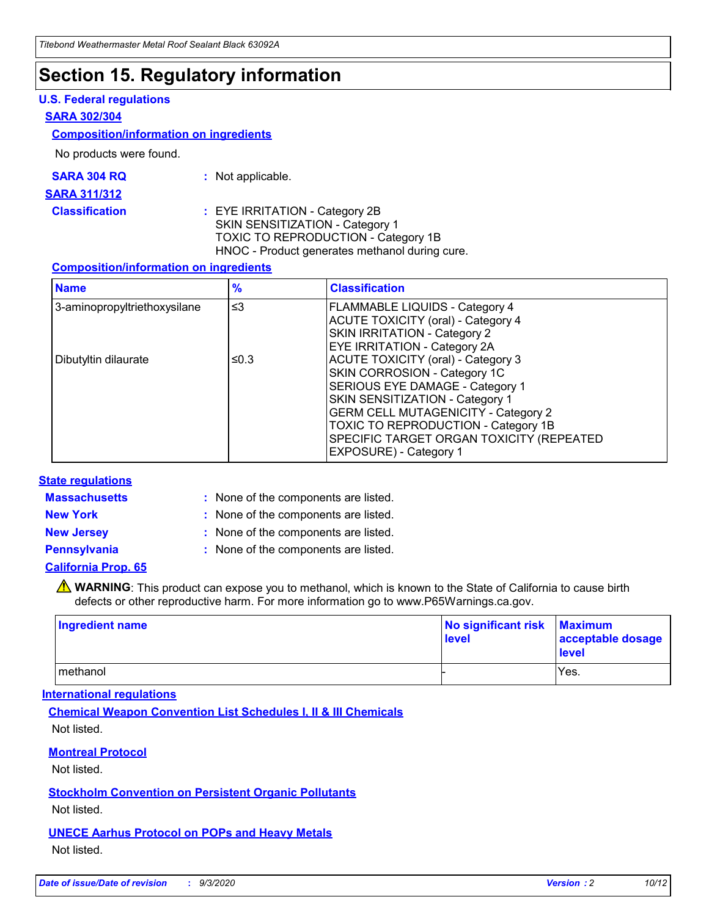### **Section 15. Regulatory information**

#### **U.S. Federal regulations**

#### **SARA 302/304**

#### **Composition/information on ingredients**

No products were found.

| SARA 304 RQ | Not applicable. |
|-------------|-----------------|
|-------------|-----------------|

#### **SARA 311/312**

**Classification :** EYE IRRITATION - Category 2B SKIN SENSITIZATION - Category 1 TOXIC TO REPRODUCTION - Category 1B HNOC - Product generates methanol during cure.

#### **Composition/information on ingredients**

| <b>Name</b>                  | $\frac{9}{6}$ | <b>Classification</b>                                                                                                                                                                                                                                                                                      |
|------------------------------|---------------|------------------------------------------------------------------------------------------------------------------------------------------------------------------------------------------------------------------------------------------------------------------------------------------------------------|
| 3-aminopropyltriethoxysilane | $\leq$ 3      | <b>FLAMMABLE LIQUIDS - Category 4</b><br><b>ACUTE TOXICITY (oral) - Category 4</b><br><b>SKIN IRRITATION - Category 2</b><br>EYE IRRITATION - Category 2A                                                                                                                                                  |
| Dibutyltin dilaurate         | ≤0.3          | <b>ACUTE TOXICITY (oral) - Category 3</b><br>SKIN CORROSION - Category 1C<br>SERIOUS EYE DAMAGE - Category 1<br>SKIN SENSITIZATION - Category 1<br><b>GERM CELL MUTAGENICITY - Category 2</b><br>TOXIC TO REPRODUCTION - Category 1B<br>SPECIFIC TARGET ORGAN TOXICITY (REPEATED<br>EXPOSURE) - Category 1 |

#### **State regulations**

**Massachusetts :**

: None of the components are listed.

**New York :** None of the components are listed. **New Jersey :** None of the components are listed.

**Pennsylvania :** None of the components are listed.

#### **California Prop. 65**

WARNING: This product can expose you to methanol, which is known to the State of California to cause birth defects or other reproductive harm. For more information go to www.P65Warnings.ca.gov.

| Ingredient name | No significant risk Maximum<br>level | acceptable dosage<br><b>level</b> |
|-----------------|--------------------------------------|-----------------------------------|
| I methanol      |                                      | Yes.                              |

#### **International regulations**

**Chemical Weapon Convention List Schedules I, II & III Chemicals** Not listed.

#### **Montreal Protocol**

Not listed.

**Stockholm Convention on Persistent Organic Pollutants**

Not listed.

#### **UNECE Aarhus Protocol on POPs and Heavy Metals** Not listed.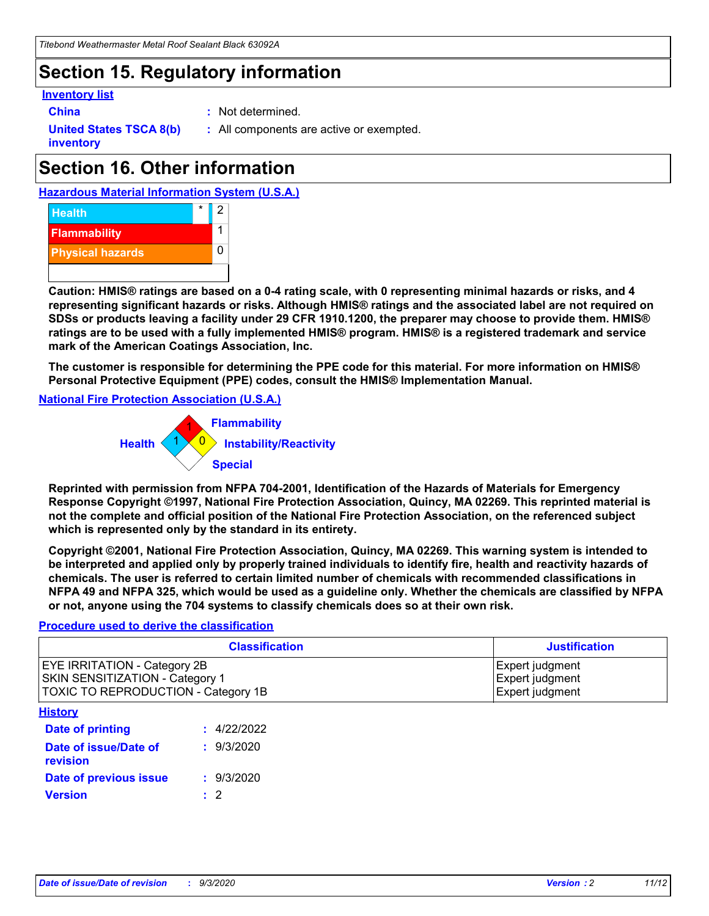### **Section 15. Regulatory information**

#### **Inventory list**

- 
- **China :** Not determined.

**United States TSCA 8(b) inventory**

**:** All components are active or exempted.

# **Section 16. Other information**





**Caution: HMIS® ratings are based on a 0-4 rating scale, with 0 representing minimal hazards or risks, and 4 representing significant hazards or risks. Although HMIS® ratings and the associated label are not required on SDSs or products leaving a facility under 29 CFR 1910.1200, the preparer may choose to provide them. HMIS® ratings are to be used with a fully implemented HMIS® program. HMIS® is a registered trademark and service mark of the American Coatings Association, Inc.**

**The customer is responsible for determining the PPE code for this material. For more information on HMIS® Personal Protective Equipment (PPE) codes, consult the HMIS® Implementation Manual.**

**National Fire Protection Association (U.S.A.)**



**Reprinted with permission from NFPA 704-2001, Identification of the Hazards of Materials for Emergency Response Copyright ©1997, National Fire Protection Association, Quincy, MA 02269. This reprinted material is not the complete and official position of the National Fire Protection Association, on the referenced subject which is represented only by the standard in its entirety.**

**Copyright ©2001, National Fire Protection Association, Quincy, MA 02269. This warning system is intended to be interpreted and applied only by properly trained individuals to identify fire, health and reactivity hazards of chemicals. The user is referred to certain limited number of chemicals with recommended classifications in NFPA 49 and NFPA 325, which would be used as a guideline only. Whether the chemicals are classified by NFPA or not, anyone using the 704 systems to classify chemicals does so at their own risk.**

#### **Procedure used to derive the classification**

| <b>Classification</b>                                                                                                | <b>Justification</b>                                  |
|----------------------------------------------------------------------------------------------------------------------|-------------------------------------------------------|
| <b>EYE IRRITATION - Category 2B</b><br><b>SKIN SENSITIZATION - Category 1</b><br>TOXIC TO REPRODUCTION - Category 1B | Expert judgment<br>Expert judgment<br>Expert judgment |
| <b>History</b>                                                                                                       |                                                       |

| <b>Date of printing</b>           | : 4/22/2022 |
|-----------------------------------|-------------|
| Date of issue/Date of<br>revision | : 9/3/2020  |
| Date of previous issue            | : 9/3/2020  |
| <b>Version</b>                    | $\cdot$ 2   |
|                                   |             |